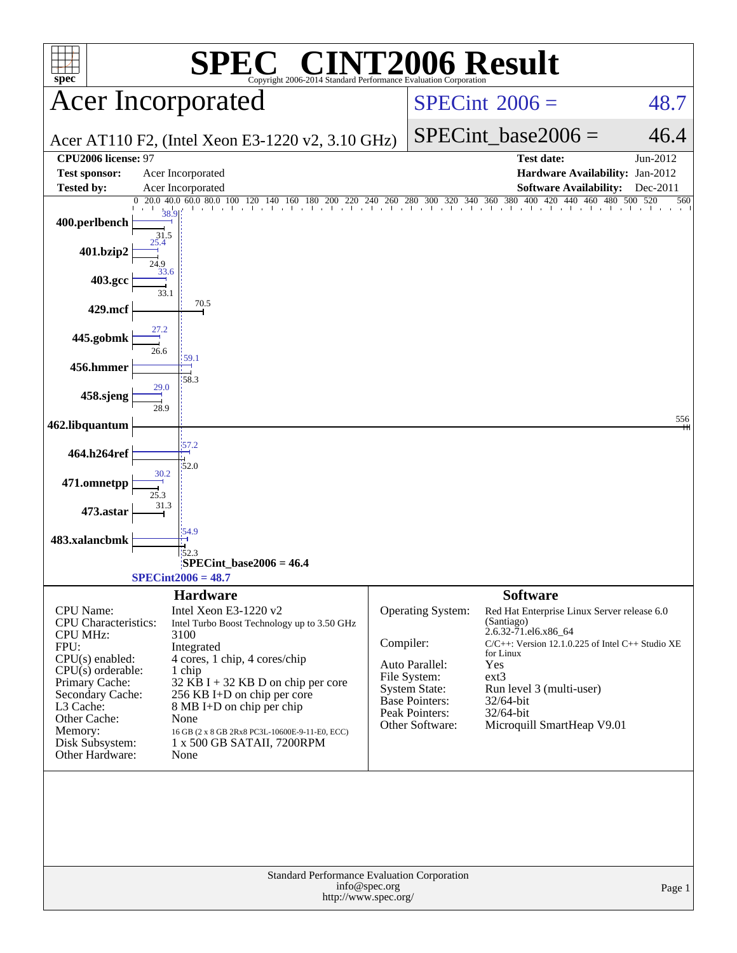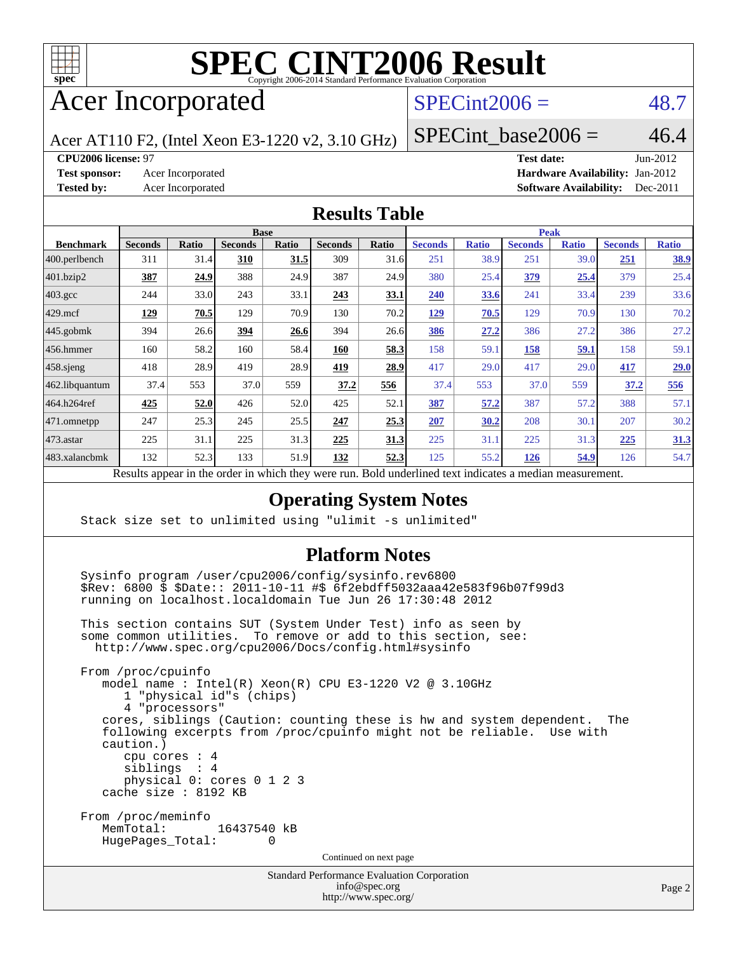

# Acer Incorporated

## $SPECint2006 = 48.7$  $SPECint2006 = 48.7$

Acer AT110 F2, (Intel Xeon E3-1220 v2, 3.10 GHz)

SPECint base2006 =  $46.4$ 

**[CPU2006 license:](http://www.spec.org/auto/cpu2006/Docs/result-fields.html#CPU2006license)** 97 **[Test date:](http://www.spec.org/auto/cpu2006/Docs/result-fields.html#Testdate)** Jun-2012 **[Test sponsor:](http://www.spec.org/auto/cpu2006/Docs/result-fields.html#Testsponsor)** Acer Incorporated **Acceleration Acer Incorporated <b>[Hardware Availability:](http://www.spec.org/auto/cpu2006/Docs/result-fields.html#HardwareAvailability)** Jan-2012 **[Tested by:](http://www.spec.org/auto/cpu2006/Docs/result-fields.html#Testedby)** Acer Incorporated **[Software Availability:](http://www.spec.org/auto/cpu2006/Docs/result-fields.html#SoftwareAvailability)** Dec-2011

#### **[Results Table](http://www.spec.org/auto/cpu2006/Docs/result-fields.html#ResultsTable)**

|                         | <b>Base</b>    |              |                |              |                |             | <b>Peak</b>    |              |                |              |                |              |
|-------------------------|----------------|--------------|----------------|--------------|----------------|-------------|----------------|--------------|----------------|--------------|----------------|--------------|
| <b>Benchmark</b>        | <b>Seconds</b> | <b>Ratio</b> | <b>Seconds</b> | <b>Ratio</b> | <b>Seconds</b> | Ratio       | <b>Seconds</b> | <b>Ratio</b> | <b>Seconds</b> | <b>Ratio</b> | <b>Seconds</b> | <b>Ratio</b> |
| $ 400.\text{perlbench}$ | 311            | 31.4         | 310            | 31.5         | 309            | 31.6        | 251            | 38.9         | 251            | 39.0         | 251            | <u>38.9</u>  |
| 401.bzip2               | 387            | 24.9         | 388            | 24.9         | 387            | 24.9        | 380            | 25.4         | 379            | 25.4         | 379            | 25.4         |
| $403.\mathrm{gcc}$      | 244            | 33.0         | 243            | 33.1         | 243            | <u>33.1</u> | 240            | 33.6         | 241            | 33.4         | 239            | 33.6         |
| $429$ .mcf              | <u> 129</u>    | 70.5         | 129            | 70.9         | 130            | 70.2        | <u>129</u>     | 70.5         | 129            | 70.9         | 130            | 70.2         |
| $445$ .gobmk            | 394            | 26.6         | 394            | 26.6         | 394            | 26.6        | 386            | 27.2         | 386            | 27.2         | 386            | 27.2         |
| 456.hmmer               | 160            | 58.2         | 160            | 58.4         | 160            | 58.3        | 158            | 59.1         | 158            | <u>59.1</u>  | 158            | 59.1         |
| $458$ .sjeng            | 418            | 28.9         | 419            | 28.9         | <u>419</u>     | 28.9        | 417            | 29.0         | 417            | 29.0         | <u>417</u>     | 29.0         |
| 462.libquantum          | 37.4           | 553          | 37.0           | 559          | 37.2           | 556         | 37.4           | 553          | 37.0           | 559          | 37.2           | 556          |
| 464.h264ref             | 425            | 52.0         | 426            | 52.0         | 425            | 52.1        | 387            | 57.2         | 387            | 57.2         | 388            | 57.1         |
| 471.omnetpp             | 247            | 25.3         | 245            | 25.5         | 247            | 25.3        | 207            | 30.2         | 208            | 30.1         | 207            | 30.2         |
| $473$ . astar           | 225            | 31.1         | 225            | 31.3         | 225            | 31.3        | 225            | 31.1         | 225            | 31.3         | 225            | 31.3         |
| 483.xalancbmk           | 132            | 52.3         | 133            | 51.9         | 132            | 52.3        | 125            | 55.2         | 126            | 54.9         | 126            | 54.7         |

Results appear in the [order in which they were run.](http://www.spec.org/auto/cpu2006/Docs/result-fields.html#RunOrder) Bold underlined text [indicates a median measurement.](http://www.spec.org/auto/cpu2006/Docs/result-fields.html#Median)

#### **[Operating System Notes](http://www.spec.org/auto/cpu2006/Docs/result-fields.html#OperatingSystemNotes)**

Stack size set to unlimited using "ulimit -s unlimited"

#### **[Platform Notes](http://www.spec.org/auto/cpu2006/Docs/result-fields.html#PlatformNotes)**

 Sysinfo program /user/cpu2006/config/sysinfo.rev6800 \$Rev: 6800 \$ \$Date:: 2011-10-11 #\$ 6f2ebdff5032aaa42e583f96b07f99d3 running on localhost.localdomain Tue Jun 26 17:30:48 2012

 This section contains SUT (System Under Test) info as seen by some common utilities. To remove or add to this section, see: <http://www.spec.org/cpu2006/Docs/config.html#sysinfo>

 From /proc/cpuinfo model name : Intel(R) Xeon(R) CPU E3-1220 V2 @ 3.10GHz 1 "physical id"s (chips) 4 "processors" cores, siblings (Caution: counting these is hw and system dependent. The following excerpts from /proc/cpuinfo might not be reliable. Use with caution.) cpu cores : 4 siblings : 4 physical 0: cores 0 1 2 3 cache size : 8192 KB From /proc/meminfo<br>MemTotal: 16437540 kB HugePages\_Total: 0 Continued on next page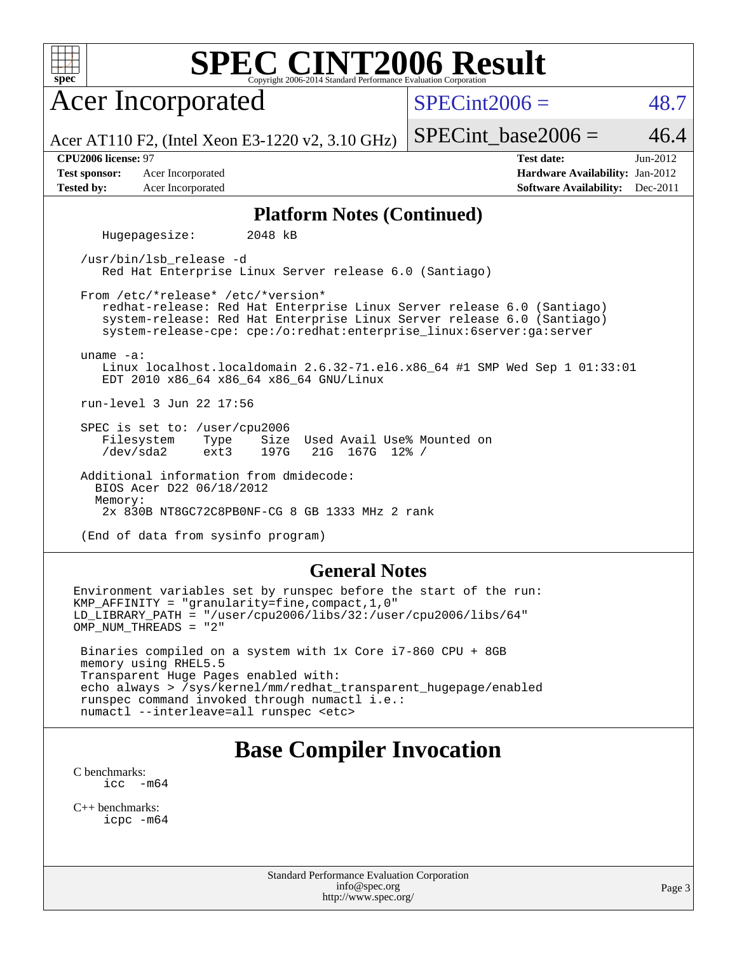| SPEC CINT2006 Evaluation Corporation<br>$spec^*$                                                                                                                                                                                                               |                                                                                                     |  |  |  |  |  |  |  |  |
|----------------------------------------------------------------------------------------------------------------------------------------------------------------------------------------------------------------------------------------------------------------|-----------------------------------------------------------------------------------------------------|--|--|--|--|--|--|--|--|
| <b>Acer Incorporated</b>                                                                                                                                                                                                                                       | $SPECint2006 =$<br>48.7                                                                             |  |  |  |  |  |  |  |  |
| Acer AT110 F2, (Intel Xeon E3-1220 v2, 3.10 GHz)                                                                                                                                                                                                               | 46.4<br>$SPECint\_base2006 =$                                                                       |  |  |  |  |  |  |  |  |
| CPU2006 license: 97<br><b>Test sponsor:</b><br>Acer Incorporated<br><b>Tested by:</b><br>Acer Incorporated                                                                                                                                                     | Jun-2012<br><b>Test date:</b><br>Hardware Availability: Jan-2012<br>Software Availability: Dec-2011 |  |  |  |  |  |  |  |  |
| <b>Platform Notes (Continued)</b>                                                                                                                                                                                                                              |                                                                                                     |  |  |  |  |  |  |  |  |
| Hugepagesize:<br>2048 kB                                                                                                                                                                                                                                       |                                                                                                     |  |  |  |  |  |  |  |  |
| /usr/bin/lsb release -d<br>Red Hat Enterprise Linux Server release 6.0 (Santiago)                                                                                                                                                                              |                                                                                                     |  |  |  |  |  |  |  |  |
| From /etc/*release* /etc/*version*<br>redhat-release: Red Hat Enterprise Linux Server release 6.0 (Santiago)<br>system-release: Red Hat Enterprise Linux Server release 6.0 (Santiago)<br>system-release-cpe: cpe:/o:redhat:enterprise_linux:6server:ga:server |                                                                                                     |  |  |  |  |  |  |  |  |
| uname $-a$ :<br>Linux localhost.localdomain $2.6.32-71.$ el6.x86 64 #1 SMP Wed Sep 1 01:33:01<br>EDT 2010 x86 64 x86 64 x86 64 GNU/Linux                                                                                                                       |                                                                                                     |  |  |  |  |  |  |  |  |
| run-level 3 Jun 22 17:56                                                                                                                                                                                                                                       |                                                                                                     |  |  |  |  |  |  |  |  |
| SPEC is set to: /user/cpu2006<br>Size<br>Used Avail Use% Mounted on<br>Filesystem<br>Type<br>$/\text{dev/sda2}$<br>197G<br>21G 167G 12% /<br>ext3                                                                                                              |                                                                                                     |  |  |  |  |  |  |  |  |
| Additional information from dmidecode:<br>BIOS Acer D22 06/18/2012<br>Memory:                                                                                                                                                                                  |                                                                                                     |  |  |  |  |  |  |  |  |
| 2x 830B NT8GC72C8PB0NF-CG 8 GB 1333 MHz 2 rank                                                                                                                                                                                                                 |                                                                                                     |  |  |  |  |  |  |  |  |
| (End of data from sysinfo program)                                                                                                                                                                                                                             |                                                                                                     |  |  |  |  |  |  |  |  |
| <b>General Notes</b>                                                                                                                                                                                                                                           |                                                                                                     |  |  |  |  |  |  |  |  |
| Environment variables set by runspec before the start of the run:<br>KMP_AFFINITY = "granularity=fine, compact, 1, 0"<br>$LD_LIBRARY_PATH = "/user/cpu2006/libs/32://user/cpu2006/libs/64"$<br>OMP NUM THREADS = "2"                                           |                                                                                                     |  |  |  |  |  |  |  |  |

 Binaries compiled on a system with 1x Core i7-860 CPU + 8GB memory using RHEL5.5 Transparent Huge Pages enabled with: echo always > /sys/kernel/mm/redhat\_transparent\_hugepage/enabled runspec command invoked through numactl i.e.: numactl --interleave=all runspec <etc>

## **[Base Compiler Invocation](http://www.spec.org/auto/cpu2006/Docs/result-fields.html#BaseCompilerInvocation)**

[C benchmarks](http://www.spec.org/auto/cpu2006/Docs/result-fields.html#Cbenchmarks): [icc -m64](http://www.spec.org/cpu2006/results/res2012q3/cpu2006-20120711-23591.flags.html#user_CCbase_intel_icc_64bit_f346026e86af2a669e726fe758c88044)

[C++ benchmarks:](http://www.spec.org/auto/cpu2006/Docs/result-fields.html#CXXbenchmarks) [icpc -m64](http://www.spec.org/cpu2006/results/res2012q3/cpu2006-20120711-23591.flags.html#user_CXXbase_intel_icpc_64bit_fc66a5337ce925472a5c54ad6a0de310)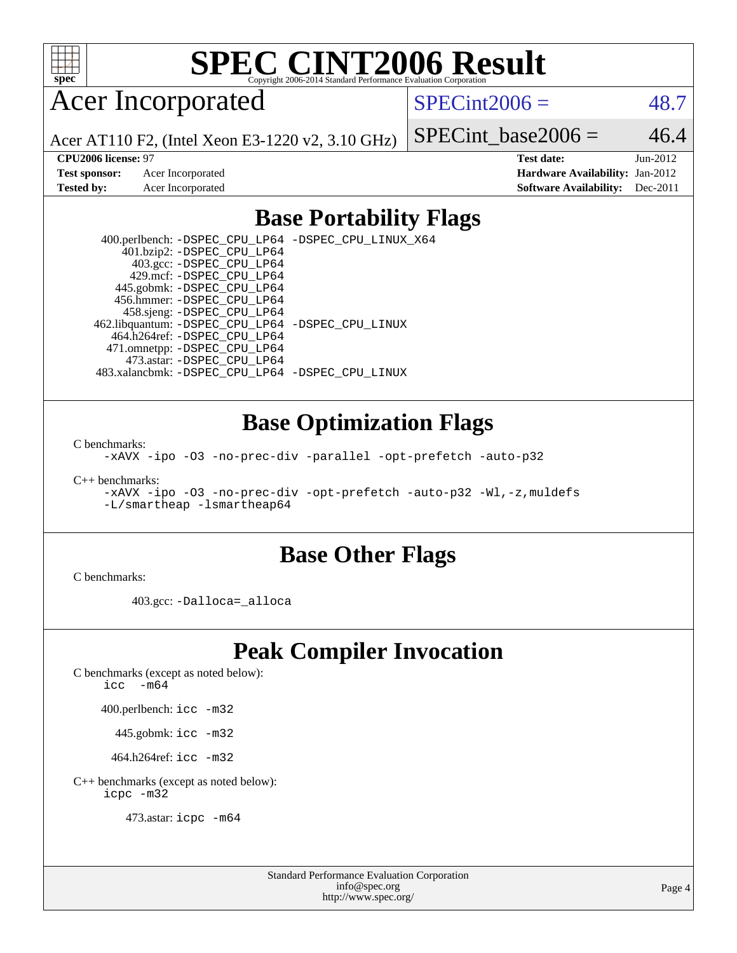

# Acer Incorporated

 $SPECint2006 = 48.7$  $SPECint2006 = 48.7$ 

Acer AT110 F2, (Intel Xeon E3-1220 v2, 3.10 GHz)

**[Test sponsor:](http://www.spec.org/auto/cpu2006/Docs/result-fields.html#Testsponsor)** Acer Incorporated **Acceleration Acer Incorporated <b>[Hardware Availability:](http://www.spec.org/auto/cpu2006/Docs/result-fields.html#HardwareAvailability)** Jan-2012

SPECint base2006 =  $46.4$ **[CPU2006 license:](http://www.spec.org/auto/cpu2006/Docs/result-fields.html#CPU2006license)** 97 **[Test date:](http://www.spec.org/auto/cpu2006/Docs/result-fields.html#Testdate)** Jun-2012

**[Tested by:](http://www.spec.org/auto/cpu2006/Docs/result-fields.html#Testedby)** Acer Incorporated **[Software Availability:](http://www.spec.org/auto/cpu2006/Docs/result-fields.html#SoftwareAvailability)** Dec-2011

### **[Base Portability Flags](http://www.spec.org/auto/cpu2006/Docs/result-fields.html#BasePortabilityFlags)**

 400.perlbench: [-DSPEC\\_CPU\\_LP64](http://www.spec.org/cpu2006/results/res2012q3/cpu2006-20120711-23591.flags.html#b400.perlbench_basePORTABILITY_DSPEC_CPU_LP64) [-DSPEC\\_CPU\\_LINUX\\_X64](http://www.spec.org/cpu2006/results/res2012q3/cpu2006-20120711-23591.flags.html#b400.perlbench_baseCPORTABILITY_DSPEC_CPU_LINUX_X64) 401.bzip2: [-DSPEC\\_CPU\\_LP64](http://www.spec.org/cpu2006/results/res2012q3/cpu2006-20120711-23591.flags.html#suite_basePORTABILITY401_bzip2_DSPEC_CPU_LP64) 403.gcc: [-DSPEC\\_CPU\\_LP64](http://www.spec.org/cpu2006/results/res2012q3/cpu2006-20120711-23591.flags.html#suite_basePORTABILITY403_gcc_DSPEC_CPU_LP64) 429.mcf: [-DSPEC\\_CPU\\_LP64](http://www.spec.org/cpu2006/results/res2012q3/cpu2006-20120711-23591.flags.html#suite_basePORTABILITY429_mcf_DSPEC_CPU_LP64) 445.gobmk: [-DSPEC\\_CPU\\_LP64](http://www.spec.org/cpu2006/results/res2012q3/cpu2006-20120711-23591.flags.html#suite_basePORTABILITY445_gobmk_DSPEC_CPU_LP64) 456.hmmer: [-DSPEC\\_CPU\\_LP64](http://www.spec.org/cpu2006/results/res2012q3/cpu2006-20120711-23591.flags.html#suite_basePORTABILITY456_hmmer_DSPEC_CPU_LP64) 458.sjeng: [-DSPEC\\_CPU\\_LP64](http://www.spec.org/cpu2006/results/res2012q3/cpu2006-20120711-23591.flags.html#suite_basePORTABILITY458_sjeng_DSPEC_CPU_LP64) 462.libquantum: [-DSPEC\\_CPU\\_LP64](http://www.spec.org/cpu2006/results/res2012q3/cpu2006-20120711-23591.flags.html#suite_basePORTABILITY462_libquantum_DSPEC_CPU_LP64) [-DSPEC\\_CPU\\_LINUX](http://www.spec.org/cpu2006/results/res2012q3/cpu2006-20120711-23591.flags.html#b462.libquantum_baseCPORTABILITY_DSPEC_CPU_LINUX) 464.h264ref: [-DSPEC\\_CPU\\_LP64](http://www.spec.org/cpu2006/results/res2012q3/cpu2006-20120711-23591.flags.html#suite_basePORTABILITY464_h264ref_DSPEC_CPU_LP64) 471.omnetpp: [-DSPEC\\_CPU\\_LP64](http://www.spec.org/cpu2006/results/res2012q3/cpu2006-20120711-23591.flags.html#suite_basePORTABILITY471_omnetpp_DSPEC_CPU_LP64) 473.astar: [-DSPEC\\_CPU\\_LP64](http://www.spec.org/cpu2006/results/res2012q3/cpu2006-20120711-23591.flags.html#suite_basePORTABILITY473_astar_DSPEC_CPU_LP64) 483.xalancbmk: [-DSPEC\\_CPU\\_LP64](http://www.spec.org/cpu2006/results/res2012q3/cpu2006-20120711-23591.flags.html#suite_basePORTABILITY483_xalancbmk_DSPEC_CPU_LP64) [-DSPEC\\_CPU\\_LINUX](http://www.spec.org/cpu2006/results/res2012q3/cpu2006-20120711-23591.flags.html#b483.xalancbmk_baseCXXPORTABILITY_DSPEC_CPU_LINUX)

### **[Base Optimization Flags](http://www.spec.org/auto/cpu2006/Docs/result-fields.html#BaseOptimizationFlags)**

[C benchmarks](http://www.spec.org/auto/cpu2006/Docs/result-fields.html#Cbenchmarks):

[-xAVX](http://www.spec.org/cpu2006/results/res2012q3/cpu2006-20120711-23591.flags.html#user_CCbase_f-xAVX) [-ipo](http://www.spec.org/cpu2006/results/res2012q3/cpu2006-20120711-23591.flags.html#user_CCbase_f-ipo) [-O3](http://www.spec.org/cpu2006/results/res2012q3/cpu2006-20120711-23591.flags.html#user_CCbase_f-O3) [-no-prec-div](http://www.spec.org/cpu2006/results/res2012q3/cpu2006-20120711-23591.flags.html#user_CCbase_f-no-prec-div) [-parallel](http://www.spec.org/cpu2006/results/res2012q3/cpu2006-20120711-23591.flags.html#user_CCbase_f-parallel) [-opt-prefetch](http://www.spec.org/cpu2006/results/res2012q3/cpu2006-20120711-23591.flags.html#user_CCbase_f-opt-prefetch) [-auto-p32](http://www.spec.org/cpu2006/results/res2012q3/cpu2006-20120711-23591.flags.html#user_CCbase_f-auto-p32)

[C++ benchmarks:](http://www.spec.org/auto/cpu2006/Docs/result-fields.html#CXXbenchmarks)

[-xAVX](http://www.spec.org/cpu2006/results/res2012q3/cpu2006-20120711-23591.flags.html#user_CXXbase_f-xAVX) [-ipo](http://www.spec.org/cpu2006/results/res2012q3/cpu2006-20120711-23591.flags.html#user_CXXbase_f-ipo) [-O3](http://www.spec.org/cpu2006/results/res2012q3/cpu2006-20120711-23591.flags.html#user_CXXbase_f-O3) [-no-prec-div](http://www.spec.org/cpu2006/results/res2012q3/cpu2006-20120711-23591.flags.html#user_CXXbase_f-no-prec-div) [-opt-prefetch](http://www.spec.org/cpu2006/results/res2012q3/cpu2006-20120711-23591.flags.html#user_CXXbase_f-opt-prefetch) [-auto-p32](http://www.spec.org/cpu2006/results/res2012q3/cpu2006-20120711-23591.flags.html#user_CXXbase_f-auto-p32) [-Wl,-z,muldefs](http://www.spec.org/cpu2006/results/res2012q3/cpu2006-20120711-23591.flags.html#user_CXXbase_link_force_multiple1_74079c344b956b9658436fd1b6dd3a8a) [-L/smartheap -lsmartheap64](http://www.spec.org/cpu2006/results/res2012q3/cpu2006-20120711-23591.flags.html#user_CXXbase_SmartHeap64_5e654037dadeae1fe403ab4b4466e60b)

### **[Base Other Flags](http://www.spec.org/auto/cpu2006/Docs/result-fields.html#BaseOtherFlags)**

[C benchmarks](http://www.spec.org/auto/cpu2006/Docs/result-fields.html#Cbenchmarks):

403.gcc: [-Dalloca=\\_alloca](http://www.spec.org/cpu2006/results/res2012q3/cpu2006-20120711-23591.flags.html#b403.gcc_baseEXTRA_CFLAGS_Dalloca_be3056838c12de2578596ca5467af7f3)

## **[Peak Compiler Invocation](http://www.spec.org/auto/cpu2006/Docs/result-fields.html#PeakCompilerInvocation)**

[C benchmarks \(except as noted below\)](http://www.spec.org/auto/cpu2006/Docs/result-fields.html#Cbenchmarksexceptasnotedbelow):

icc  $-m64$ 

400.perlbench: [icc -m32](http://www.spec.org/cpu2006/results/res2012q3/cpu2006-20120711-23591.flags.html#user_peakCCLD400_perlbench_intel_icc_a6a621f8d50482236b970c6ac5f55f93)

445.gobmk: [icc -m32](http://www.spec.org/cpu2006/results/res2012q3/cpu2006-20120711-23591.flags.html#user_peakCCLD445_gobmk_intel_icc_a6a621f8d50482236b970c6ac5f55f93)

464.h264ref: [icc -m32](http://www.spec.org/cpu2006/results/res2012q3/cpu2006-20120711-23591.flags.html#user_peakCCLD464_h264ref_intel_icc_a6a621f8d50482236b970c6ac5f55f93)

[C++ benchmarks \(except as noted below\):](http://www.spec.org/auto/cpu2006/Docs/result-fields.html#CXXbenchmarksexceptasnotedbelow) [icpc -m32](http://www.spec.org/cpu2006/results/res2012q3/cpu2006-20120711-23591.flags.html#user_CXXpeak_intel_icpc_4e5a5ef1a53fd332b3c49e69c3330699)

473.astar: [icpc -m64](http://www.spec.org/cpu2006/results/res2012q3/cpu2006-20120711-23591.flags.html#user_peakCXXLD473_astar_intel_icpc_64bit_fc66a5337ce925472a5c54ad6a0de310)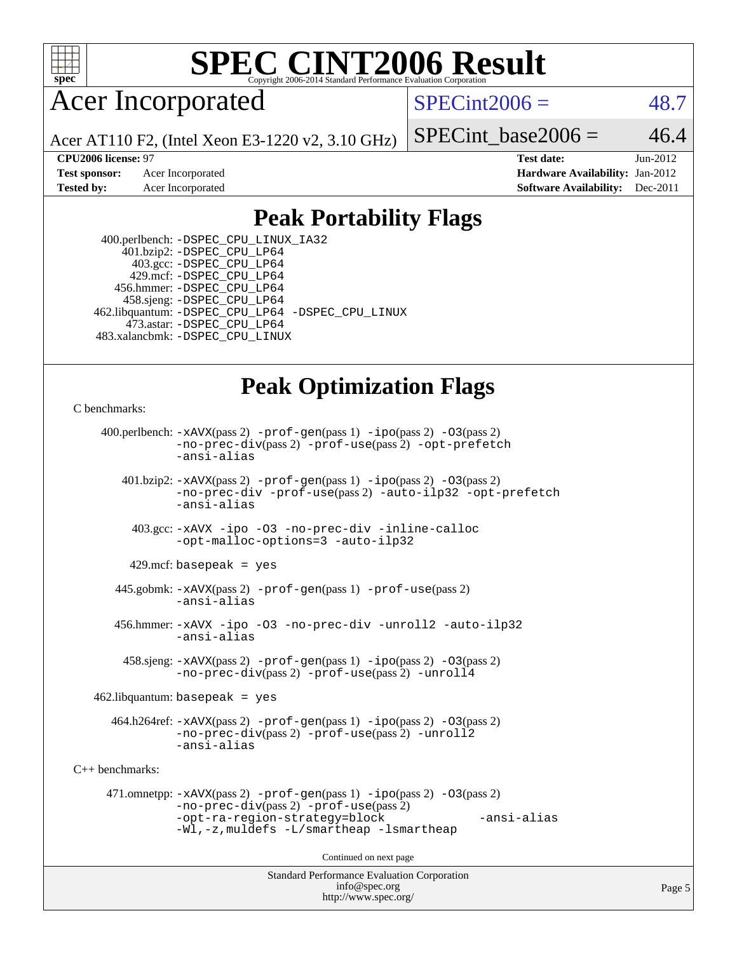

## Acer Incorporated

 $SPECint2006 = 48.7$  $SPECint2006 = 48.7$ 

Acer AT110 F2, (Intel Xeon E3-1220 v2, 3.10 GHz)

**[Test sponsor:](http://www.spec.org/auto/cpu2006/Docs/result-fields.html#Testsponsor)** Acer Incorporated **[Hardware Availability:](http://www.spec.org/auto/cpu2006/Docs/result-fields.html#HardwareAvailability)** Jan-2012 **[Tested by:](http://www.spec.org/auto/cpu2006/Docs/result-fields.html#Testedby)** Acer Incorporated **[Software Availability:](http://www.spec.org/auto/cpu2006/Docs/result-fields.html#SoftwareAvailability)** Dec-2011

SPECint base2006 =  $46.4$ 

**[CPU2006 license:](http://www.spec.org/auto/cpu2006/Docs/result-fields.html#CPU2006license)** 97 **[Test date:](http://www.spec.org/auto/cpu2006/Docs/result-fields.html#Testdate)** Jun-2012

## **[Peak Portability Flags](http://www.spec.org/auto/cpu2006/Docs/result-fields.html#PeakPortabilityFlags)**

 400.perlbench: [-DSPEC\\_CPU\\_LINUX\\_IA32](http://www.spec.org/cpu2006/results/res2012q3/cpu2006-20120711-23591.flags.html#b400.perlbench_peakCPORTABILITY_DSPEC_CPU_LINUX_IA32) 401.bzip2: [-DSPEC\\_CPU\\_LP64](http://www.spec.org/cpu2006/results/res2012q3/cpu2006-20120711-23591.flags.html#suite_peakPORTABILITY401_bzip2_DSPEC_CPU_LP64) 403.gcc: [-DSPEC\\_CPU\\_LP64](http://www.spec.org/cpu2006/results/res2012q3/cpu2006-20120711-23591.flags.html#suite_peakPORTABILITY403_gcc_DSPEC_CPU_LP64) 429.mcf: [-DSPEC\\_CPU\\_LP64](http://www.spec.org/cpu2006/results/res2012q3/cpu2006-20120711-23591.flags.html#suite_peakPORTABILITY429_mcf_DSPEC_CPU_LP64) 456.hmmer: [-DSPEC\\_CPU\\_LP64](http://www.spec.org/cpu2006/results/res2012q3/cpu2006-20120711-23591.flags.html#suite_peakPORTABILITY456_hmmer_DSPEC_CPU_LP64) 458.sjeng: [-DSPEC\\_CPU\\_LP64](http://www.spec.org/cpu2006/results/res2012q3/cpu2006-20120711-23591.flags.html#suite_peakPORTABILITY458_sjeng_DSPEC_CPU_LP64) 462.libquantum: [-DSPEC\\_CPU\\_LP64](http://www.spec.org/cpu2006/results/res2012q3/cpu2006-20120711-23591.flags.html#suite_peakPORTABILITY462_libquantum_DSPEC_CPU_LP64) [-DSPEC\\_CPU\\_LINUX](http://www.spec.org/cpu2006/results/res2012q3/cpu2006-20120711-23591.flags.html#b462.libquantum_peakCPORTABILITY_DSPEC_CPU_LINUX) 473.astar: [-DSPEC\\_CPU\\_LP64](http://www.spec.org/cpu2006/results/res2012q3/cpu2006-20120711-23591.flags.html#suite_peakPORTABILITY473_astar_DSPEC_CPU_LP64) 483.xalancbmk: [-DSPEC\\_CPU\\_LINUX](http://www.spec.org/cpu2006/results/res2012q3/cpu2006-20120711-23591.flags.html#b483.xalancbmk_peakCXXPORTABILITY_DSPEC_CPU_LINUX)

# **[Peak Optimization Flags](http://www.spec.org/auto/cpu2006/Docs/result-fields.html#PeakOptimizationFlags)**

```
C benchmarks:
```

```
Standard Performance Evaluation Corporation
                                          info@spec.org
     400.perlbench: -xAVX(pass 2) -prof-gen(pass 1) -ipo(pass 2) -O3(pass 2)
                -no-prec-div(pass 2) -prof-use(pass 2) -opt-prefetch
                -ansi-alias
        401.bzip2: -xAVX(pass 2) -prof-gen(pass 1) -ipo(pass 2) -O3(pass 2)
                -no-prec-div -prof-use(pass 2) -auto-ilp32 -opt-prefetch
                -ansi-alias
          403.gcc: -xAVX -ipo -O3 -no-prec-div -inline-calloc
                -opt-malloc-options=3 -auto-ilp32
         429.mcf: basepeak = yes
       445.gobmk: -xAVX(pass 2) -prof-gen(pass 1) -prof-use(pass 2)
                -ansi-alias
       456.hmmer: -xAVX -ipo -O3 -no-prec-div -unroll2 -auto-ilp32
                -ansi-alias
         458.sjeng: -xAVX(pass 2) -prof-gen(pass 1) -ipo(pass 2) -O3(pass 2)
                -no-prec-div(pass 2) -prof-use(pass 2) -unroll4
    462.libquantum: basepeak = yes
       464.h264ref: -xAVX(pass 2) -prof-gen(pass 1) -ipo(pass 2) -O3(pass 2)
                -no-prec-div(pass 2) -prof-use(pass 2) -unroll2
                -ansi-alias
C++ benchmarks: 
      471.omnetpp: -xAVX(pass 2) -prof-gen(pass 1) -ipo(pass 2) -O3(pass 2)
                -no-prec-div(pass 2) -prof-use(pass 2)
                -opt-ra-region-strategy=block -ansi-alias
                -Wl,-z,muldefs -L/smartheap -lsmartheap
                                        Continued on next page
```
<http://www.spec.org/>